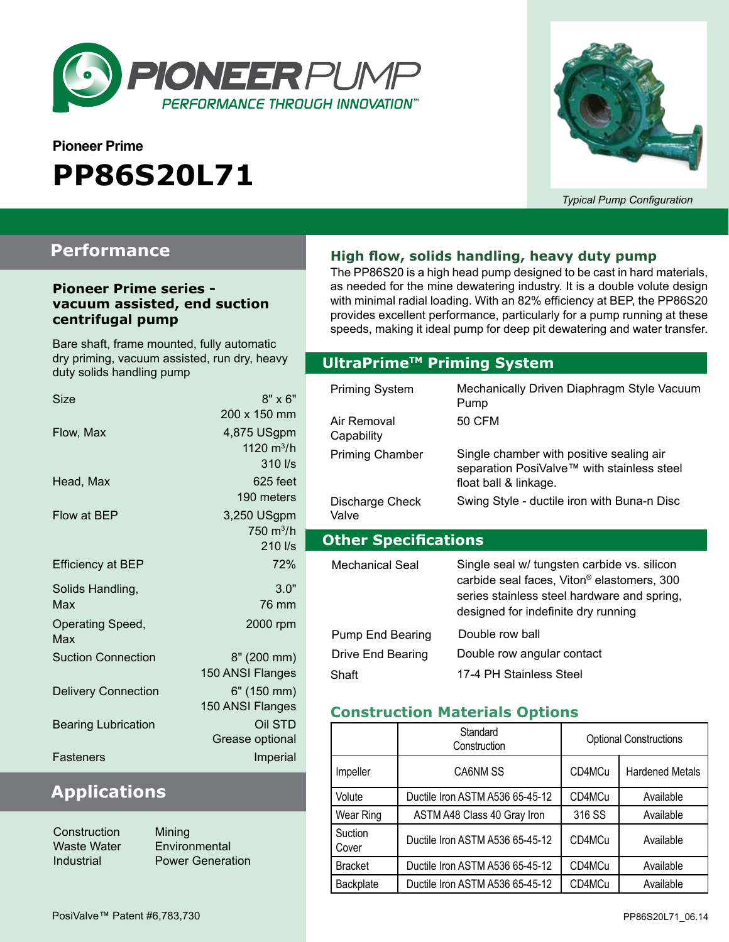

# **Pioneer Prime PP86S20L71**



*Typical Pump Configuration*

### **Performance**

#### **Pioneer Prime series vacuum assisted, end suction centrifugal pump**

Bare shaft, frame mounted, fully automatic dry priming, vacuum assisted, run dry, heavy duty solids handling pump

| $8" \times 6"$               |
|------------------------------|
| 200 x 150 mm                 |
| 4,875 USgpm                  |
| 1120 $m^3/h$                 |
| 310 l/s                      |
| 625 feet                     |
| 190 meters                   |
| 3,250 USgpm                  |
| $750 \; \text{m}^3/\text{h}$ |
| 210 l/s                      |
| 72%                          |
| 3.0"                         |
| <b>76 mm</b>                 |
| 2000 rpm                     |
|                              |
| 8" (200 mm)                  |
| 150 ANSI Flanges             |
| 6" (150 mm)                  |
| 150 ANSI Flanges             |
| Oil STD                      |
| Grease optional              |
| Imperial                     |
|                              |

## **Applications**

| Mining   |
|----------|
| Environn |
| Power G  |
|          |

hental eneration **High flow, solids handling, heavy duty pump**

The PP86S20 is a high head pump designed to be cast in hard materials, as needed for the mine dewatering industry. It is a double volute design with minimal radial loading. With an 82% efficiency at BEP, the PP86S20 provides excellent performance, particularly for a pump running at these speeds, making it ideal pump for deep pit dewatering and water transfer.

### **Optional Priming System UltraPrimeTM Priming System**

| Priming System<br>Air Removal<br>Capability    | Mechanically Driven Diaphragm Style Vacuum<br>Pump<br>50 CFM                                                                                                                                |
|------------------------------------------------|---------------------------------------------------------------------------------------------------------------------------------------------------------------------------------------------|
| <b>Priming Chamber</b>                         | Single chamber with positive sealing air<br>separation PosiValve™ with stainless steel<br>float ball & linkage.                                                                             |
| Discharge Check<br>Valve                       | Swing Style - ductile iron with Buna-n Disc                                                                                                                                                 |
| <b>Other Specifications</b>                    |                                                                                                                                                                                             |
| Mechanical Seal                                | Single seal w/ tungsten carbide vs. silicon<br>carbide seal faces, Viton <sup>®</sup> elastomers, 300<br>series stainless steel hardware and spring,<br>designed for indefinite dry running |
| Pump End Bearing<br>Drive End Bearing<br>Shaft | Double row ball<br>Double row angular contact<br>17-4 PH Stainless Steel                                                                                                                    |
|                                                |                                                                                                                                                                                             |

### **Construction Materials Options**

|                  | Standard<br>Construction        | <b>Optional Constructions</b> |                        |
|------------------|---------------------------------|-------------------------------|------------------------|
| Impeller         | CA6NM SS                        | CD4MCu                        | <b>Hardened Metals</b> |
| Volute           | Ductile Iron ASTM A536 65-45-12 | CD4MCu                        | Available              |
| Wear Ring        | ASTM A48 Class 40 Gray Iron     | 316 SS                        | Available              |
| Suction<br>Cover | Ductile Iron ASTM A536 65-45-12 | CD4MCu                        | Available              |
| <b>Bracket</b>   | Ductile Iron ASTM A536 65-45-12 | CD4MCu                        | Available              |
| Backplate        | Ductile Iron ASTM A536 65-45-12 | CD4MCu                        | Available              |